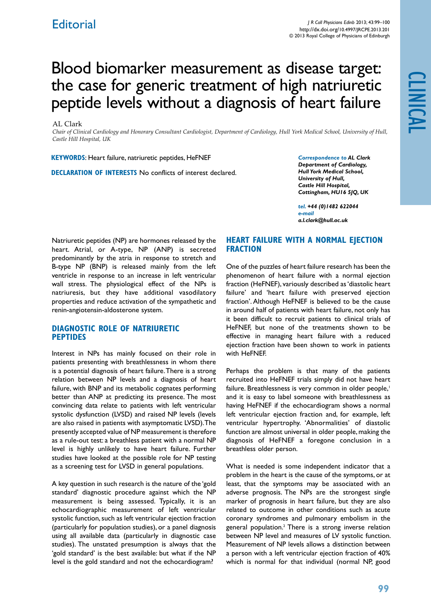# Blood biomarker measurement as disease target: the case for generic treatment of high natriuretic peptide levels without a diagnosis of heart failure

#### AL Clark

*Chair of Clinical Cardiology and Honorary Consultant Cardiologist, Department of Cardiology, Hull York Medical School, University of Hull, Castle Hill Hospital, UK*

**Keywords**: Heart failure, natriuretic peptides, HeFNEF

**DECLARATION OF INTERESTS** No conflicts of interest declared.

*Correspondence to AL Clark Department of Cardiology, Hull York Medical School, University of Hull, Castle Hill Hospital, Cottingham, HU16 5JQ, UK*

*tel. +44 (0)1482 622044 e-mail a.l.clark@hull.ac.uk*

Natriuretic peptides (NP) are hormones released by the heart. Atrial, or A-type, NP (ANP) is secreted predominantly by the atria in response to stretch and B-type NP (BNP) is released mainly from the left ventricle in response to an increase in left ventricular wall stress. The physiological effect of the NPs is natriuresis, but they have additional vasodilatory properties and reduce activation of the sympathetic and renin-angiotensin-aldosterone system.

## **Diagnostic role of natriuretic peptides**

Interest in NPs has mainly focused on their role in patients presenting with breathlessness in whom there is a potential diagnosis of heart failure. There is a strong relation between NP levels and a diagnosis of heart failure, with BNP and its metabolic cognates performing better than ANP at predicting its presence. The most convincing data relate to patients with left ventricular systolic dysfunction (LVSD) and raised NP levels (levels are also raised in patients with asymptomatic LVSD). The presently accepted value of NP measurement is therefore as a rule-out test: a breathless patient with a normal NP level is highly unlikely to have heart failure. Further studies have looked at the possible role for NP testing as a screening test for LVSD in general populations.

A key question in such research is the nature of the 'gold standard' diagnostic procedure against which the NP measurement is being assessed. Typically, it is an echocardiographic measurement of left ventricular systolic function, such as left ventricular ejection fraction (particularly for population studies), or a panel diagnosis using all available data (particularly in diagnostic case studies). The unstated presumption is always that the 'gold standard' is the best available: but what if the NP level is the gold standard and not the echocardiogram?

## **Heart failure with a normal ejection fraction**

One of the puzzles of heart failure research has been the phenomenon of heart failure with a normal ejection fraction (HeFNEF), variously described as 'diastolic heart failure' and 'heart failure with preserved ejection fraction'. Although HeFNEF is believed to be the cause in around half of patients with heart failure, not only has it been difficult to recruit patients to clinical trials of HeFNEF, but none of the treatments shown to be effective in managing heart failure with a reduced ejection fraction have been shown to work in patients with HeFNEF.

Perhaps the problem is that many of the patients recruited into HeFNEF trials simply did not have heart failure. Breathlessness is very common in older people,<sup>1</sup> and it is easy to label someone with breathlessness as having HeFNEF if the echocardiogram shows a normal left ventricular ejection fraction and, for example, left ventricular hypertrophy. 'Abnormalities' of diastolic function are almost universal in older people, making the diagnosis of HeFNEF a foregone conclusion in a breathless older person.

What is needed is some independent indicator that a problem in the heart is the cause of the symptoms, or at least, that the symptoms may be associated with an adverse prognosis. The NPs are the strongest single marker of prognosis in heart failure, but they are also related to outcome in other conditions such as acute coronary syndromes and pulmonary embolism in the general population.<sup>2</sup> There is a strong inverse relation between NP level and measures of LV systolic function. Measurement of NP levels allows a distinction between a person with a left ventricular ejection fraction of 40% which is normal for that individual (normal NP, good